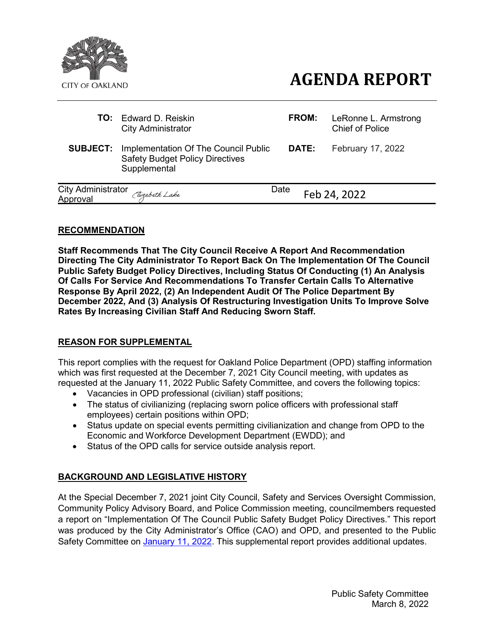

# **AGENDA REPORT**

| TO:                                   | Edward D. Reiskin<br><b>City Administrator</b>                                                 |      | FROM:        | LeRonne L. Armstrong<br><b>Chief of Police</b> |
|---------------------------------------|------------------------------------------------------------------------------------------------|------|--------------|------------------------------------------------|
| <b>SUBJECT:</b>                       | Implementation Of The Council Public<br><b>Safety Budget Policy Directives</b><br>Supplemental |      | <b>DATE:</b> | February 17, 2022                              |
| <b>City Administrator</b><br>Approval | Elizabeth Lake                                                                                 | Date |              | Feb 24, 2022                                   |

## **RECOMMENDATION**

**Staff Recommends That The City Council Receive A Report And Recommendation Directing The City Administrator To Report Back On The Implementation Of The Council Public Safety Budget Policy Directives, Including Status Of Conducting (1) An Analysis Of Calls For Service And Recommendations To Transfer Certain Calls To Alternative Response By April 2022, (2) An Independent Audit Of The Police Department By December 2022, And (3) Analysis Of Restructuring Investigation Units To Improve Solve Rates By Increasing Civilian Staff And Reducing Sworn Staff.**

#### **REASON FOR SUPPLEMENTAL**

This report complies with the request for Oakland Police Department (OPD) staffing information which was first requested at the December 7, 2021 City Council meeting, with updates as requested at the January 11, 2022 Public Safety Committee, and covers the following topics:

- Vacancies in OPD professional (civilian) staff positions;
- The status of civilianizing (replacing sworn police officers with professional staff employees) certain positions within OPD;
- Status update on special events permitting civilianization and change from OPD to the Economic and Workforce Development Department (EWDD); and
- Status of the OPD calls for service outside analysis report.

# **BACKGROUND AND LEGISLATIVE HISTORY**

At the Special December 7, 2021 joint City Council, Safety and Services Oversight Commission, Community Policy Advisory Board, and Police Commission meeting, councilmembers requested a report on "Implementation Of The Council Public Safety Budget Policy Directives." This report was produced by the City Administrator's Office (CAO) and OPD, and presented to the Public Safety Committee on [January 11,](https://oakland.legistar.com/LegislationDetail.aspx?ID=5351705&GUID=3CCA3B77-5304-4BED-9299-2B72FFAEB2B7&Options&Search) 2022. This supplemental report provides additional updates.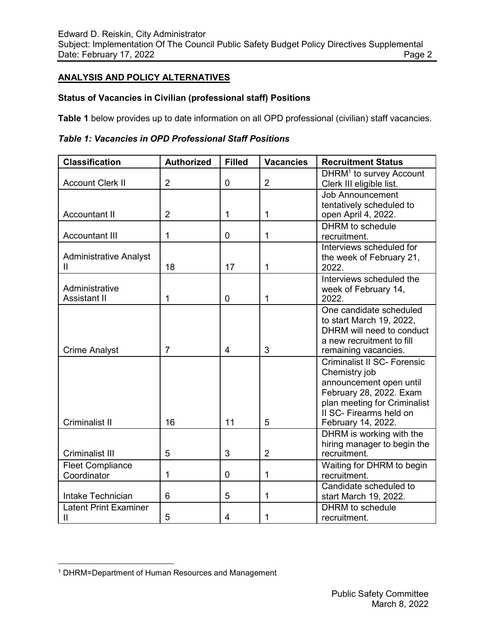## **ANALYSIS AND POLICY ALTERNATIVES**

## **Status of Vacancies in Civilian (professional staff) Positions**

**Table 1** below provides up to date information on all OPD professional (civilian) staff vacancies.

|  |  |  | <b>Table 1: Vacancies in OPD Professional Staff Positions</b> |  |  |
|--|--|--|---------------------------------------------------------------|--|--|
|--|--|--|---------------------------------------------------------------|--|--|

| <b>Classification</b>                         | <b>Authorized</b> | <b>Filled</b>  | <b>Vacancies</b> | <b>Recruitment Status</b>                                                                                                                                                                  |
|-----------------------------------------------|-------------------|----------------|------------------|--------------------------------------------------------------------------------------------------------------------------------------------------------------------------------------------|
| <b>Account Clerk II</b>                       | $\overline{2}$    | $\overline{0}$ | $\overline{2}$   | DHRM <sup>1</sup> to survey Account<br>Clerk III eligible list.                                                                                                                            |
| <b>Accountant II</b>                          | $\overline{2}$    | 1              | 1                | <b>Job Announcement</b><br>tentatively scheduled to<br>open April 4, 2022.                                                                                                                 |
| <b>Accountant III</b>                         | 1                 | $\mathbf 0$    | 1                | DHRM to schedule<br>recruitment.                                                                                                                                                           |
| <b>Administrative Analyst</b><br>$\mathbf{I}$ | 18                | 17             | 1                | Interviews scheduled for<br>the week of February 21,<br>2022.                                                                                                                              |
| Administrative<br><b>Assistant II</b>         | 1                 | $\overline{0}$ | 1                | Interviews scheduled the<br>week of February 14,<br>2022.                                                                                                                                  |
| <b>Crime Analyst</b>                          | $\overline{7}$    | 4              | 3                | One candidate scheduled<br>to start March 19, 2022,<br>DHRM will need to conduct<br>a new recruitment to fill<br>remaining vacancies.                                                      |
| <b>Criminalist II</b>                         | 16                | 11             | 5                | <b>Criminalist II SC- Forensic</b><br>Chemistry job<br>announcement open until<br>February 28, 2022. Exam<br>plan meeting for Criminalist<br>II SC- Firearms held on<br>February 14, 2022. |
|                                               |                   |                |                  | DHRM is working with the<br>hiring manager to begin the                                                                                                                                    |
| <b>Criminalist III</b>                        | 5                 | 3              | $\overline{2}$   | recruitment.                                                                                                                                                                               |
| <b>Fleet Compliance</b><br>Coordinator        | 1                 | $\overline{0}$ | 1                | Waiting for DHRM to begin<br>recruitment.                                                                                                                                                  |
| Intake Technician                             | 6                 | 5              | 1                | Candidate scheduled to<br>start March 19, 2022.                                                                                                                                            |
| <b>Latent Print Examiner</b><br>$\mathbf{  }$ | 5                 | $\overline{4}$ | 1                | <b>DHRM</b> to schedule<br>recruitment.                                                                                                                                                    |

<sup>1</sup> DHRM=Department of Human Resources and Management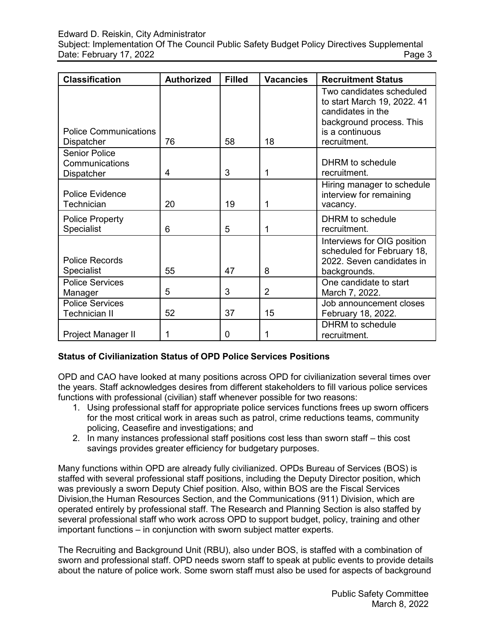#### Edward D. Reiskin, City Administrator

Subject: Implementation Of The Council Public Safety Budget Policy Directives Supplemental Date: February 17, 2022 **Page 3** 

| <b>Classification</b>                                | <b>Authorized</b> | <b>Filled</b> | <b>Vacancies</b> | <b>Recruitment Status</b>                                                                                                                   |
|------------------------------------------------------|-------------------|---------------|------------------|---------------------------------------------------------------------------------------------------------------------------------------------|
| <b>Police Communications</b><br><b>Dispatcher</b>    | 76                | 58            | 18               | Two candidates scheduled<br>to start March 19, 2022. 41<br>candidates in the<br>background process. This<br>is a continuous<br>recruitment. |
| <b>Senior Police</b><br>Communications<br>Dispatcher | 4                 | 3             | 1                | DHRM to schedule<br>recruitment.                                                                                                            |
| <b>Police Evidence</b><br>Technician                 | 20                | 19            | 1                | Hiring manager to schedule<br>interview for remaining<br>vacancy.                                                                           |
| <b>Police Property</b><br><b>Specialist</b>          | 6                 | 5             | 1                | DHRM to schedule<br>recruitment.                                                                                                            |
| <b>Police Records</b><br><b>Specialist</b>           | 55                | 47            | 8                | Interviews for OIG position<br>scheduled for February 18,<br>2022. Seven candidates in<br>backgrounds.                                      |
| <b>Police Services</b><br>Manager                    | 5                 | 3             | $\overline{2}$   | One candidate to start<br>March 7, 2022.                                                                                                    |
| <b>Police Services</b><br>Technician II              | 52                | 37            | 15               | Job announcement closes<br>February 18, 2022.                                                                                               |
| Project Manager II                                   | 1                 | 0             | 1                | <b>DHRM</b> to schedule<br>recruitment.                                                                                                     |

# **Status of Civilianization Status of OPD Police Services Positions**

OPD and CAO have looked at many positions across OPD for civilianization several times over the years. Staff acknowledges desires from different stakeholders to fill various police services functions with professional (civilian) staff whenever possible for two reasons:

- 1. Using professional staff for appropriate police services functions frees up sworn officers for the most critical work in areas such as patrol, crime reductions teams, community policing, Ceasefire and investigations; and
- 2. In many instances professional staff positions cost less than sworn staff this cost savings provides greater efficiency for budgetary purposes.

Many functions within OPD are already fully civilianized. OPDs Bureau of Services (BOS) is staffed with several professional staff positions, including the Deputy Director position, which was previously a sworn Deputy Chief position. Also, within BOS are the Fiscal Services Division,the Human Resources Section, and the Communications (911) Division, which are operated entirely by professional staff. The Research and Planning Section is also staffed by several professional staff who work across OPD to support budget, policy, training and other important functions – in conjunction with sworn subject matter experts.

The Recruiting and Background Unit (RBU), also under BOS, is staffed with a combination of sworn and professional staff. OPD needs sworn staff to speak at public events to provide details about the nature of police work. Some sworn staff must also be used for aspects of background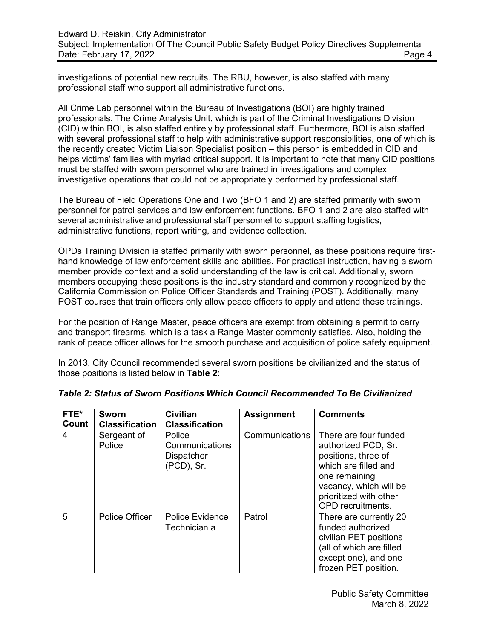investigations of potential new recruits. The RBU, however, is also staffed with many professional staff who support all administrative functions.

All Crime Lab personnel within the Bureau of Investigations (BOI) are highly trained professionals. The Crime Analysis Unit, which is part of the Criminal Investigations Division (CID) within BOI, is also staffed entirely by professional staff. Furthermore, BOI is also staffed with several professional staff to help with administrative support responsibilities, one of which is the recently created Victim Liaison Specialist position – this person is embedded in CID and helps victims' families with myriad critical support. It is important to note that many CID positions must be staffed with sworn personnel who are trained in investigations and complex investigative operations that could not be appropriately performed by professional staff.

The Bureau of Field Operations One and Two (BFO 1 and 2) are staffed primarily with sworn personnel for patrol services and law enforcement functions. BFO 1 and 2 are also staffed with several administrative and professional staff personnel to support staffing logistics, administrative functions, report writing, and evidence collection.

OPDs Training Division is staffed primarily with sworn personnel, as these positions require firsthand knowledge of law enforcement skills and abilities. For practical instruction, having a sworn member provide context and a solid understanding of the law is critical. Additionally, sworn members occupying these positions is the industry standard and commonly recognized by the California Commission on Police Officer Standards and Training (POST). Additionally, many POST courses that train officers only allow peace officers to apply and attend these trainings.

For the position of Range Master, peace officers are exempt from obtaining a permit to carry and transport firearms, which is a task a Range Master commonly satisfies. Also, holding the rank of peace officer allows for the smooth purchase and acquisition of police safety equipment.

In 2013, City Council recommended several sworn positions be civilianized and the status of those positions is listed below in **Table 2**:

| FTE*  | <b>Sworn</b>          | <b>Civilian</b>                                      | <b>Assignment</b> | <b>Comments</b>                                                                                                                                                                              |
|-------|-----------------------|------------------------------------------------------|-------------------|----------------------------------------------------------------------------------------------------------------------------------------------------------------------------------------------|
| Count | <b>Classification</b> | <b>Classification</b>                                |                   |                                                                                                                                                                                              |
| 4     | Sergeant of<br>Police | Police<br>Communications<br>Dispatcher<br>(PCD), Sr. | Communications    | There are four funded<br>authorized PCD, Sr.<br>positions, three of<br>which are filled and<br>one remaining<br>vacancy, which will be<br>prioritized with other<br><b>OPD</b> recruitments. |
| 5     | <b>Police Officer</b> | Police Evidence<br>Technician a                      | Patrol            | There are currently 20<br>funded authorized<br>civilian PET positions<br>(all of which are filled<br>except one), and one<br>frozen PET position.                                            |

| Table 2: Status of Sworn Positions Which Council Recommended To Be Civilianized |
|---------------------------------------------------------------------------------|
|---------------------------------------------------------------------------------|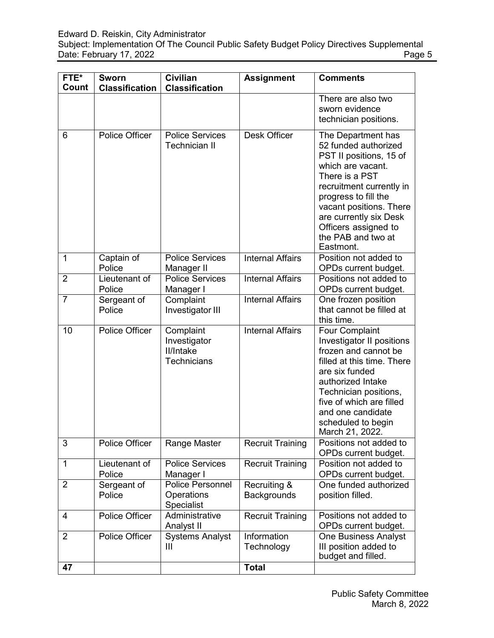Edward D. Reiskin, City Administrator

Subject: Implementation Of The Council Public Safety Budget Policy Directives Supplemental Date: February 17, 2022

| FTE*<br>Count  | <b>Sworn</b><br><b>Classification</b> | Civilian<br><b>Classification</b>                                   | <b>Assignment</b>                  | <b>Comments</b>                                                                                                                                                                                                                                                                  |
|----------------|---------------------------------------|---------------------------------------------------------------------|------------------------------------|----------------------------------------------------------------------------------------------------------------------------------------------------------------------------------------------------------------------------------------------------------------------------------|
|                |                                       |                                                                     |                                    | There are also two<br>sworn evidence<br>technician positions.                                                                                                                                                                                                                    |
| 6              | <b>Police Officer</b>                 | <b>Police Services</b><br><b>Technician II</b>                      | Desk Officer                       | The Department has<br>52 funded authorized<br>PST II positions, 15 of<br>which are vacant.<br>There is a PST<br>recruitment currently in<br>progress to fill the<br>vacant positions. There<br>are currently six Desk<br>Officers assigned to<br>the PAB and two at<br>Eastmont. |
| $\mathbf{1}$   | Captain of<br>Police                  | <b>Police Services</b><br>Manager II                                | <b>Internal Affairs</b>            | Position not added to<br>OPDs current budget.                                                                                                                                                                                                                                    |
| $\overline{2}$ | Lieutenant of<br>Police               | <b>Police Services</b><br>Manager I                                 | <b>Internal Affairs</b>            | Positions not added to<br>OPDs current budget.                                                                                                                                                                                                                                   |
| $\overline{7}$ | Sergeant of<br>Police                 | Complaint<br>Investigator III                                       | <b>Internal Affairs</b>            | One frozen position<br>that cannot be filled at<br>this time.                                                                                                                                                                                                                    |
| 10             | Police Officer                        | Complaint<br>Investigator<br><b>II/Intake</b><br><b>Technicians</b> | <b>Internal Affairs</b>            | Four Complaint<br>Investigator II positions<br>frozen and cannot be<br>filled at this time. There<br>are six funded<br>authorized Intake<br>Technician positions,<br>five of which are filled<br>and one candidate<br>scheduled to begin<br>March 21, 2022.                      |
| 3              | Police Officer                        | Range Master                                                        | <b>Recruit Training</b>            | Positions not added to<br>OPDs current budget.                                                                                                                                                                                                                                   |
| $\mathbf 1$    | Lieutenant of<br>Police               | <b>Police Services</b><br>Manager I                                 | <b>Recruit Training</b>            | Position not added to<br>OPDs current budget.                                                                                                                                                                                                                                    |
| $\overline{2}$ | Sergeant of<br>Police                 | <b>Police Personnel</b><br><b>Operations</b><br>Specialist          | Recruiting &<br><b>Backgrounds</b> | One funded authorized<br>position filled.                                                                                                                                                                                                                                        |
| $\overline{4}$ | Police Officer                        | Administrative<br>Analyst II                                        | <b>Recruit Training</b>            | Positions not added to<br>OPDs current budget.                                                                                                                                                                                                                                   |
| $\overline{2}$ | Police Officer                        | <b>Systems Analyst</b><br>Ш                                         | Information<br>Technology          | <b>One Business Analyst</b><br>III position added to<br>budget and filled.                                                                                                                                                                                                       |
| 47             |                                       |                                                                     | <b>Total</b>                       |                                                                                                                                                                                                                                                                                  |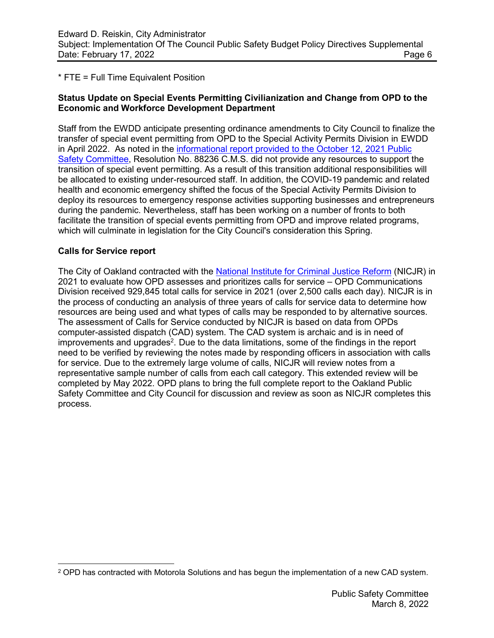#### \* FTE = Full Time Equivalent Position

### **Status Update on Special Events Permitting Civilianization and Change from OPD to the Economic and Workforce Development Department**

Staff from the EWDD anticipate presenting ordinance amendments to City Council to finalize the transfer of special event permitting from OPD to the Special Activity Permits Division in EWDD in April 2022. As noted in the [informational report provided to the October 12, 2021 Public](https://oakland.legistar.com/LegislationDetail.aspx?ID=5136230&GUID=42B74595-4B3E-4779-9DA4-0815D0778C9B&Options=ID%7CText%7C&Search=special%2Bevents) [Safety Committee,](https://oakland.legistar.com/LegislationDetail.aspx?ID=5136230&GUID=42B74595-4B3E-4779-9DA4-0815D0778C9B&Options=ID%7CText%7C&Search=special%2Bevents) Resolution No. 88236 C.M.S. did not provide any resources to support the transition of special event permitting. As a result of this transition additional responsibilities will be allocated to existing under-resourced staff. In addition, the COVID-19 pandemic and related health and economic emergency shifted the focus of the Special Activity Permits Division to deploy its resources to emergency response activities supporting businesses and entrepreneurs during the pandemic. Nevertheless, staff has been working on a number of fronts to both facilitate the transition of special events permitting from OPD and improve related programs, which will culminate in legislation for the City Council's consideration this Spring.

#### **Calls for Service report**

The City of Oakland contracted with the [National Institute for Criminal Justice Reform](https://nicjr.org/) (NICJR) in 2021 to evaluate how OPD assesses and prioritizes calls for service – OPD Communications Division received 929,845 total calls for service in 2021 (over 2,500 calls each day). NICJR is in the process of conducting an analysis of three years of calls for service data to determine how resources are being used and what types of calls may be responded to by alternative sources. The assessment of Calls for Service conducted by NICJR is based on data from OPDs computer-assisted dispatch (CAD) system. The CAD system is archaic and is in need of improvements and upgrades<sup>2</sup>. Due to the data limitations, some of the findings in the report need to be verified by reviewing the notes made by responding officers in association with calls for service. Due to the extremely large volume of calls, NICJR will review notes from a representative sample number of calls from each call category. This extended review will be completed by May 2022. OPD plans to bring the full complete report to the Oakland Public Safety Committee and City Council for discussion and review as soon as NICJR completes this process.

 $2$  OPD has contracted with Motorola Solutions and has begun the implementation of a new CAD system.